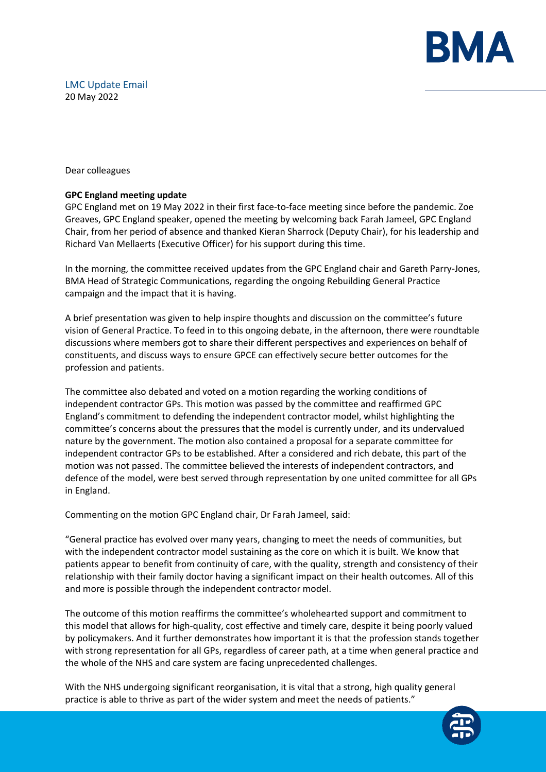

# LMC Update Email 20 May 2022

Dear colleagues

## **GPC England meeting update**

GPC England met on 19 May 2022 in their first face-to-face meeting since before the pandemic. Zoe Greaves, GPC England speaker, opened the meeting by welcoming back Farah Jameel, GPC England Chair, from her period of absence and thanked Kieran Sharrock (Deputy Chair), for his leadership and Richard Van Mellaerts (Executive Officer) for his support during this time.

In the morning, the committee received updates from the GPC England chair and Gareth Parry-Jones, BMA Head of Strategic Communications, regarding the ongoing Rebuilding General Practice campaign and the impact that it is having.

A brief presentation was given to help inspire thoughts and discussion on the committee's future vision of General Practice. To feed in to this ongoing debate, in the afternoon, there were roundtable discussions where members got to share their different perspectives and experiences on behalf of constituents, and discuss ways to ensure GPCE can effectively secure better outcomes for the profession and patients.

The committee also debated and voted on a motion regarding the working conditions of independent contractor GPs. This motion was passed by the committee and reaffirmed GPC England's commitment to defending the independent contractor model, whilst highlighting the committee's concerns about the pressures that the model is currently under, and its undervalued nature by the government. The motion also contained a proposal for a separate committee for independent contractor GPs to be established. After a considered and rich debate, this part of the motion was not passed. The committee believed the interests of independent contractors, and defence of the model, were best served through representation by one united committee for all GPs in England.

Commenting on the motion GPC England chair, Dr Farah Jameel, said:

"General practice has evolved over many years, changing to meet the needs of communities, but with the independent contractor model sustaining as the core on which it is built. We know that patients appear to benefit from continuity of care, with the quality, strength and consistency of their relationship with their family doctor having a significant impact on their health outcomes. All of this and more is possible through the independent contractor model.

The outcome of this motion reaffirms the committee's wholehearted support and commitment to this model that allows for high-quality, cost effective and timely care, despite it being poorly valued by policymakers. And it further demonstrates how important it is that the profession stands together with strong representation for all GPs, regardless of career path, at a time when general practice and the whole of the NHS and care system are facing unprecedented challenges.

With the NHS undergoing significant reorganisation, it is vital that a strong, high quality general practice is able to thrive as part of the wider system and meet the needs of patients."

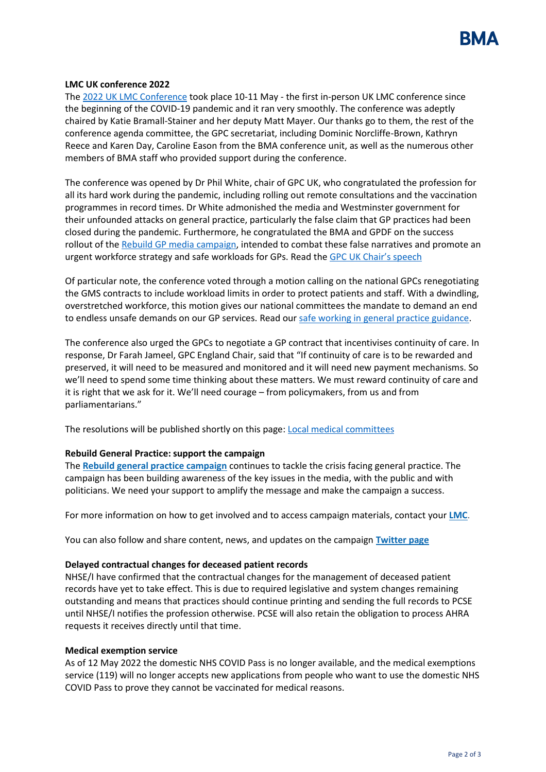

### **LMC UK conference 2022**

The [2022 UK LMC Conference](https://www.bma.org.uk/what-we-do/local-medical-committees) took place 10-11 May - the first in-person UK LMC conference since the beginning of the COVID-19 pandemic and it ran very smoothly. The conference was adeptly chaired by Katie Bramall-Stainer and her deputy Matt Mayer. Our thanks go to them, the rest of the conference agenda committee, the GPC secretariat, including Dominic Norcliffe-Brown, Kathryn Reece and Karen Day, Caroline Eason from the BMA conference unit, as well as the numerous other members of BMA staff who provided support during the conference.

The conference was opened by Dr Phil White, chair of GPC UK, who congratulated the profession for all its hard work during the pandemic, including rolling out remote consultations and the vaccination programmes in record times. Dr White admonished the media and Westminster government for their unfounded attacks on general practice, particularly the false claim that GP practices had been closed during the pandemic. Furthermore, he congratulated the BMA and GPDF on the success rollout of th[e Rebuild GP media campaign,](https://protect-eu.mimecast.com/s/Q8U5CX5WWfXNzVMh6p6wUn?domain=bma-mail.org.uk) intended to combat these false narratives and promote an urgent workforce strategy and safe workloads for GPs. Read the [GPC UK Chair's speech](https://www.bma.org.uk/media/5637/bma-gpc-uk-chair-speech-may-2022.pdf)

Of particular note, the conference voted through a motion calling on the national GPCs renegotiating the GMS contracts to include workload limits in order to protect patients and staff. With a dwindling, overstretched workforce, this motion gives our national committees the mandate to demand an end to endless unsafe demands on our GP services. Read our [safe working in general practice guidance.](https://www.bma.org.uk/advice-and-support/gp-practices/managing-workload/safe-working-in-general-practice)

The conference also urged the GPCs to negotiate a GP contract that incentivises continuity of care. In response, Dr Farah Jameel, GPC England Chair, said that "If continuity of care is to be rewarded and preserved, it will need to be measured and monitored and it will need new payment mechanisms. So we'll need to spend some time thinking about these matters. We must reward continuity of care and it is right that we ask for it. We'll need courage – from policymakers, from us and from parliamentarians."

The resolutions will be published shortly on this page[: Local medical committees](https://www.bma.org.uk/what-we-do/local-medical-committees)

## **Rebuild General Practice: support the campaign**

The **[Rebuild general practice campaign](https://protect-eu.mimecast.com/s/Q8U5CX5WWfXNzVMh6p6wUn?domain=bma-mail.org.uk)** continues to tackle the crisis facing general practice. The campaign has been building awareness of the key issues in the media, with the public and with politicians. We need your support to amplify the message and make the campaign a success.

For more information on how to get involved and to access campaign materials, contact your **[LMC](https://protect-eu.mimecast.com/s/R5bfC2WMMcpG9PETnJrPn9?domain=bma-mail.org.uk)**.

You can also follow and share content, news, and updates on the campaign **[Twitter page](https://protect-eu.mimecast.com/s/uv4PCZ011t5RprotzrwGAQ?domain=bma-mail.org.uk)**

### **Delayed contractual changes for deceased patient records**

NHSE/I have confirmed that the contractual changes for the management of deceased patient records have yet to take effect. This is due to required legislative and system changes remaining outstanding and means that practices should continue printing and sending the full records to PCSE until NHSE/I notifies the profession otherwise. PCSE will also retain the obligation to process AHRA requests it receives directly until that time.

### **Medical exemption service**

As of 12 May 2022 the domestic NHS COVID Pass is no longer available, and the medical exemptions service (119) will no longer accepts new applications from people who want to use the domestic NHS COVID Pass to prove they cannot be vaccinated for medical reasons.